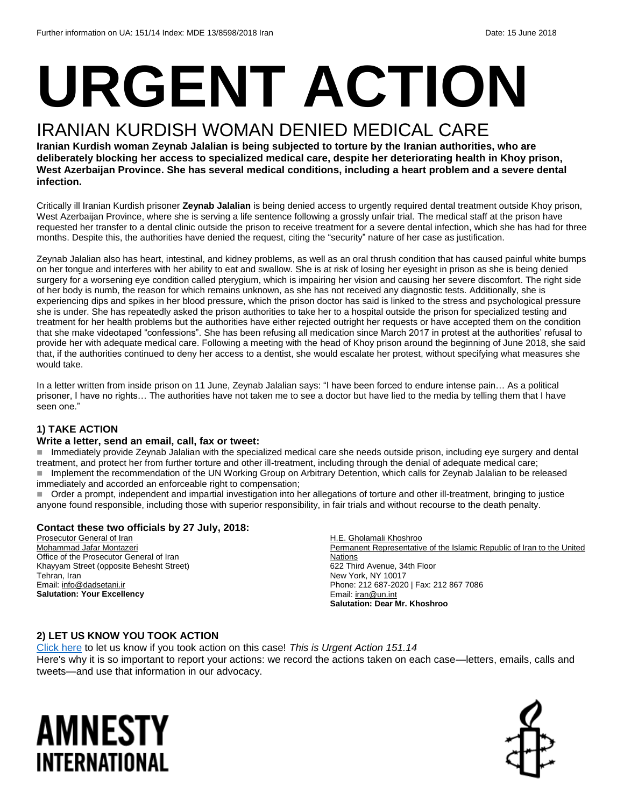# **URGENT ACTION**

## IRANIAN KURDISH WOMAN DENIED MEDICAL CARE

**Iranian Kurdish woman Zeynab Jalalian is being subjected to torture by the Iranian authorities, who are deliberately blocking her access to specialized medical care, despite her deteriorating health in Khoy prison, West Azerbaijan Province. She has several medical conditions, including a heart problem and a severe dental infection.**

Critically ill Iranian Kurdish prisoner **Zeynab Jalalian** is being denied access to urgently required dental treatment outside Khoy prison, West Azerbaijan Province, where she is serving a life sentence following a grossly unfair trial. The medical staff at the prison have requested her transfer to a dental clinic outside the prison to receive treatment for a severe dental infection, which she has had for three months. Despite this, the authorities have denied the request, citing the "security" nature of her case as justification.

Zeynab Jalalian also has heart, intestinal, and kidney problems, as well as an oral thrush condition that has caused painful white bumps on her tongue and interferes with her ability to eat and swallow. She is at risk of losing her eyesight in prison as she is being denied surgery for a worsening eye condition called pterygium, which is impairing her vision and causing her severe discomfort. The right side of her body is numb, the reason for which remains unknown, as she has not received any diagnostic tests. Additionally, she is experiencing dips and spikes in her blood pressure, which the prison doctor has said is linked to the stress and psychological pressure she is under. She has repeatedly asked the prison authorities to take her to a hospital outside the prison for specialized testing and treatment for her health problems but the authorities have either rejected outright her requests or have accepted them on the condition that she make videotaped "confessions". She has been refusing all medication since March 2017 in protest at the authorities' refusal to provide her with adequate medical care. Following a meeting with the head of Khoy prison around the beginning of June 2018, she said that, if the authorities continued to deny her access to a dentist, she would escalate her protest, without specifying what measures she would take.

In a letter written from inside prison on 11 June, Zeynab Jalalian says: "I have been forced to endure intense pain… As a political prisoner, I have no rights… The authorities have not taken me to see a doctor but have lied to the media by telling them that I have seen one."

#### **1) TAKE ACTION**

#### **Write a letter, send an email, call, fax or tweet:**

 Immediately provide Zeynab Jalalian with the specialized medical care she needs outside prison, including eye surgery and dental treatment, and protect her from further torture and other ill-treatment, including through the denial of adequate medical care; Implement the recommendation of the UN Working Group on Arbitrary Detention, which calls for Zeynab Jalalian to be released immediately and accorded an enforceable right to compensation;

 Order a prompt, independent and impartial investigation into her allegations of torture and other ill-treatment, bringing to justice anyone found responsible, including those with superior responsibility, in fair trials and without recourse to the death penalty.

#### **Contact these two officials by 27 July, 2018:**

Prosecutor General of Iran Mohammad Jafar Montazeri Office of the Prosecutor General of Iran Khayyam Street (opposite Behesht Street) Tehran, Iran Email[: info@dadsetani.ir](mailto:info@dadsetani.ir) **Salutation: Your Excellency** 

H.E. Gholamali Khoshroo Permanent Representative of the Islamic Republic of Iran to the United **Nations** 622 Third Avenue, 34th Floor New York, NY 10017 Phone: 212 687-2020 | Fax: 212 867 7086 Email[: iran@un.int](mailto:iran@un.int) **Salutation: Dear Mr. Khoshroo**

#### **2) LET US KNOW YOU TOOK ACTION**

[Click here](https://www.amnestyusa.org/report-urgent-actions/) to let us know if you took action on this case! *This is Urgent Action 151.14* Here's why it is so important to report your actions: we record the actions taken on each case—letters, emails, calls and tweets—and use that information in our advocacy.